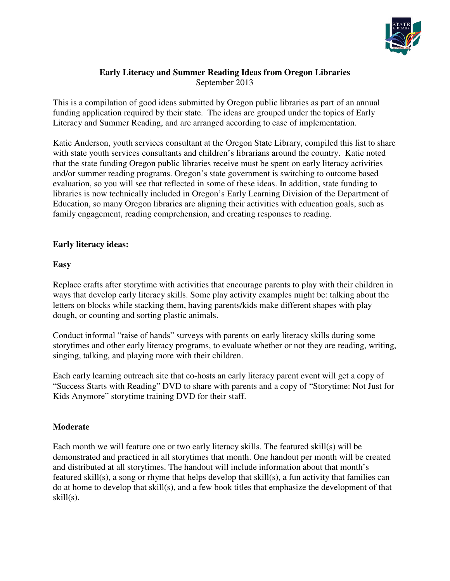

#### **Early Literacy and Summer Reading Ideas from Oregon Libraries**  September 2013

This is a compilation of good ideas submitted by Oregon public libraries as part of an annual funding application required by their state. The ideas are grouped under the topics of Early Literacy and Summer Reading, and are arranged according to ease of implementation.

Katie Anderson, youth services consultant at the Oregon State Library, compiled this list to share with state youth services consultants and children's librarians around the country. Katie noted that the state funding Oregon public libraries receive must be spent on early literacy activities and/or summer reading programs. Oregon's state government is switching to outcome based evaluation, so you will see that reflected in some of these ideas. In addition, state funding to libraries is now technically included in Oregon's Early Learning Division of the Department of Education, so many Oregon libraries are aligning their activities with education goals, such as family engagement, reading comprehension, and creating responses to reading.

# **Early literacy ideas:**

# **Easy**

Replace crafts after storytime with activities that encourage parents to play with their children in ways that develop early literacy skills. Some play activity examples might be: talking about the letters on blocks while stacking them, having parents/kids make different shapes with play dough, or counting and sorting plastic animals.

Conduct informal "raise of hands" surveys with parents on early literacy skills during some storytimes and other early literacy programs, to evaluate whether or not they are reading, writing, singing, talking, and playing more with their children.

Each early learning outreach site that co-hosts an early literacy parent event will get a copy of "Success Starts with Reading" DVD to share with parents and a copy of "Storytime: Not Just for Kids Anymore" storytime training DVD for their staff.

#### **Moderate**

Each month we will feature one or two early literacy skills. The featured skill(s) will be demonstrated and practiced in all storytimes that month. One handout per month will be created and distributed at all storytimes. The handout will include information about that month's featured skill(s), a song or rhyme that helps develop that skill(s), a fun activity that families can do at home to develop that skill(s), and a few book titles that emphasize the development of that skill(s).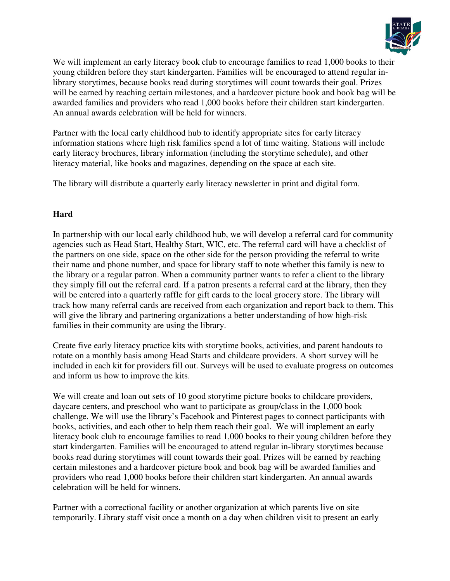

We will implement an early literacy book club to encourage families to read 1,000 books to their young children before they start kindergarten. Families will be encouraged to attend regular inlibrary storytimes, because books read during storytimes will count towards their goal. Prizes will be earned by reaching certain milestones, and a hardcover picture book and book bag will be awarded families and providers who read 1,000 books before their children start kindergarten. An annual awards celebration will be held for winners.

Partner with the local early childhood hub to identify appropriate sites for early literacy information stations where high risk families spend a lot of time waiting. Stations will include early literacy brochures, library information (including the storytime schedule), and other literacy material, like books and magazines, depending on the space at each site.

The library will distribute a quarterly early literacy newsletter in print and digital form.

# **Hard**

In partnership with our local early childhood hub, we will develop a referral card for community agencies such as Head Start, Healthy Start, WIC, etc. The referral card will have a checklist of the partners on one side, space on the other side for the person providing the referral to write their name and phone number, and space for library staff to note whether this family is new to the library or a regular patron. When a community partner wants to refer a client to the library they simply fill out the referral card. If a patron presents a referral card at the library, then they will be entered into a quarterly raffle for gift cards to the local grocery store. The library will track how many referral cards are received from each organization and report back to them. This will give the library and partnering organizations a better understanding of how high-risk families in their community are using the library.

Create five early literacy practice kits with storytime books, activities, and parent handouts to rotate on a monthly basis among Head Starts and childcare providers. A short survey will be included in each kit for providers fill out. Surveys will be used to evaluate progress on outcomes and inform us how to improve the kits.

We will create and loan out sets of 10 good storytime picture books to childcare providers, daycare centers, and preschool who want to participate as group/class in the 1,000 book challenge. We will use the library's Facebook and Pinterest pages to connect participants with books, activities, and each other to help them reach their goal. We will implement an early literacy book club to encourage families to read 1,000 books to their young children before they start kindergarten. Families will be encouraged to attend regular in-library storytimes because books read during storytimes will count towards their goal. Prizes will be earned by reaching certain milestones and a hardcover picture book and book bag will be awarded families and providers who read 1,000 books before their children start kindergarten. An annual awards celebration will be held for winners.

Partner with a correctional facility or another organization at which parents live on site temporarily. Library staff visit once a month on a day when children visit to present an early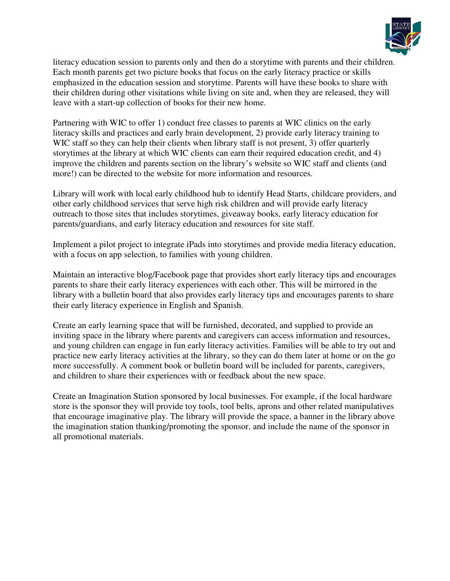

literacy education session to parents only and then do a storytime with parents and their children. Each month parents get two picture books that focus on the early literacy practice or skills emphasized in the education session and storytime. Parents will have these books to share with their children during other visitations while living on site and, when they are released, they will leave with a start-up collection of books for their new home.

Partnering with WIC to offer 1) conduct free classes to parents at WIC clinics on the early literacy skills and practices and early brain development, 2) provide early literacy training to WIC staff so they can help their clients when library staff is not present, 3) offer quarterly storytimes at the library at which WIC clients can earn their required education credit, and 4) improve the children and parents section on the library's website so WIC staff and clients (and more!) can be directed to the website for more information and resources.

Library will work with local early childhood hub to identify Head Starts, childcare providers, and other early childhood services that serve high risk children and will provide early literacy outreach to those sites that includes storytimes, giveaway books, early literacy education for parents/guardians, and early literacy education and resources for site staff.

Implement a pilot project to integrate iPads into storytimes and provide media literacy education, with a focus on app selection, to families with young children.

Maintain an interactive blog/Facebook page that provides short early literacy tips and encourages parents to share their early literacy experiences with each other. This will be mirrored in the library with a bulletin board that also provides early literacy tips and encourages parents to share their early literacy experience in English and Spanish.

Create an early learning space that will be furnished, decorated, and supplied to provide an inviting space in the library where parents and caregivers can access information and resources, and young children can engage in fun early literacy activities. Families will be able to try out and practice new early literacy activities at the library, so they can do them later at home or on the go more successfully. A comment book or bulletin board will be included for parents, caregivers, and children to share their experiences with or feedback about the new space.

Create an Imagination Station sponsored by local businesses. For example, if the local hardware store is the sponsor they will provide toy tools, tool belts, aprons and other related manipulatives that encourage imaginative play. The library will provide the space, a banner in the library above the imagination station thanking/promoting the sponsor, and include the name of the sponsor in all promotional materials.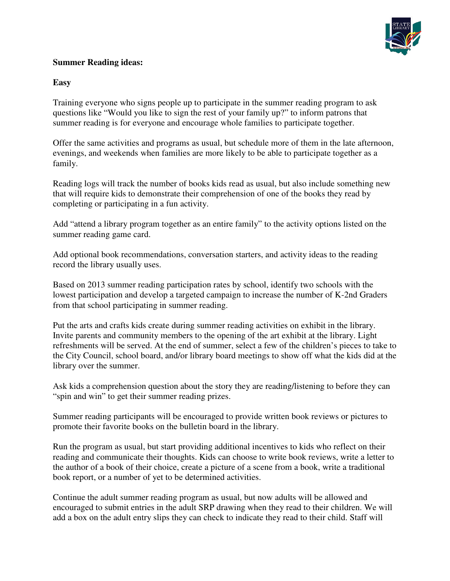

# **Summer Reading ideas:**

#### **Easy**

Training everyone who signs people up to participate in the summer reading program to ask questions like "Would you like to sign the rest of your family up?" to inform patrons that summer reading is for everyone and encourage whole families to participate together.

Offer the same activities and programs as usual, but schedule more of them in the late afternoon, evenings, and weekends when families are more likely to be able to participate together as a family.

Reading logs will track the number of books kids read as usual, but also include something new that will require kids to demonstrate their comprehension of one of the books they read by completing or participating in a fun activity.

Add "attend a library program together as an entire family" to the activity options listed on the summer reading game card.

Add optional book recommendations, conversation starters, and activity ideas to the reading record the library usually uses.

Based on 2013 summer reading participation rates by school, identify two schools with the lowest participation and develop a targeted campaign to increase the number of K-2nd Graders from that school participating in summer reading.

Put the arts and crafts kids create during summer reading activities on exhibit in the library. Invite parents and community members to the opening of the art exhibit at the library. Light refreshments will be served. At the end of summer, select a few of the children's pieces to take to the City Council, school board, and/or library board meetings to show off what the kids did at the library over the summer.

Ask kids a comprehension question about the story they are reading/listening to before they can "spin and win" to get their summer reading prizes.

Summer reading participants will be encouraged to provide written book reviews or pictures to promote their favorite books on the bulletin board in the library.

Run the program as usual, but start providing additional incentives to kids who reflect on their reading and communicate their thoughts. Kids can choose to write book reviews, write a letter to the author of a book of their choice, create a picture of a scene from a book, write a traditional book report, or a number of yet to be determined activities.

Continue the adult summer reading program as usual, but now adults will be allowed and encouraged to submit entries in the adult SRP drawing when they read to their children. We will add a box on the adult entry slips they can check to indicate they read to their child. Staff will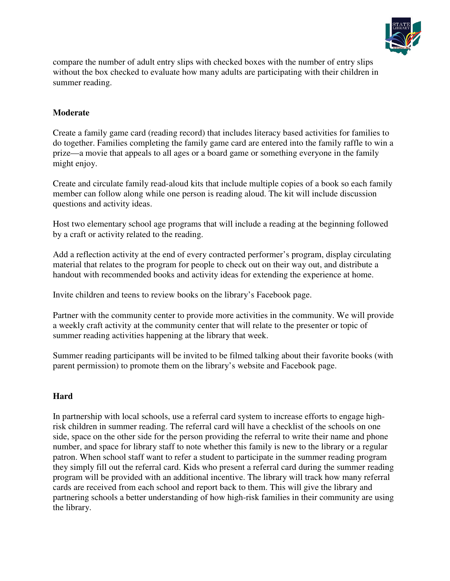

compare the number of adult entry slips with checked boxes with the number of entry slips without the box checked to evaluate how many adults are participating with their children in summer reading.

# **Moderate**

Create a family game card (reading record) that includes literacy based activities for families to do together. Families completing the family game card are entered into the family raffle to win a prize—a movie that appeals to all ages or a board game or something everyone in the family might enjoy.

Create and circulate family read-aloud kits that include multiple copies of a book so each family member can follow along while one person is reading aloud. The kit will include discussion questions and activity ideas.

Host two elementary school age programs that will include a reading at the beginning followed by a craft or activity related to the reading.

Add a reflection activity at the end of every contracted performer's program, display circulating material that relates to the program for people to check out on their way out, and distribute a handout with recommended books and activity ideas for extending the experience at home.

Invite children and teens to review books on the library's Facebook page.

Partner with the community center to provide more activities in the community. We will provide a weekly craft activity at the community center that will relate to the presenter or topic of summer reading activities happening at the library that week.

Summer reading participants will be invited to be filmed talking about their favorite books (with parent permission) to promote them on the library's website and Facebook page.

#### **Hard**

In partnership with local schools, use a referral card system to increase efforts to engage highrisk children in summer reading. The referral card will have a checklist of the schools on one side, space on the other side for the person providing the referral to write their name and phone number, and space for library staff to note whether this family is new to the library or a regular patron. When school staff want to refer a student to participate in the summer reading program they simply fill out the referral card. Kids who present a referral card during the summer reading program will be provided with an additional incentive. The library will track how many referral cards are received from each school and report back to them. This will give the library and partnering schools a better understanding of how high-risk families in their community are using the library.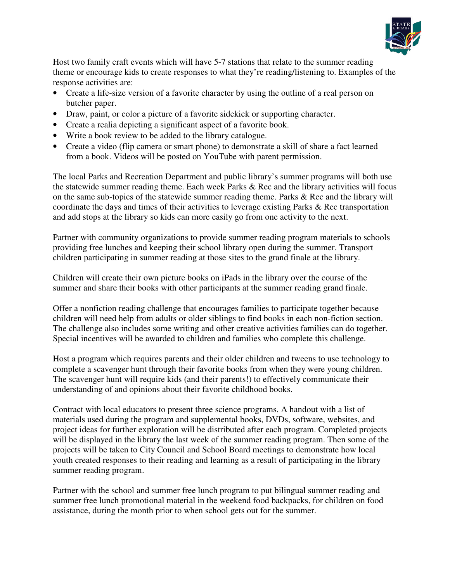

Host two family craft events which will have 5-7 stations that relate to the summer reading theme or encourage kids to create responses to what they're reading/listening to. Examples of the response activities are:

- Create a life-size version of a favorite character by using the outline of a real person on butcher paper.
- Draw, paint, or color a picture of a favorite sidekick or supporting character.
- Create a realia depicting a significant aspect of a favorite book.
- Write a book review to be added to the library catalogue.
- Create a video (flip camera or smart phone) to demonstrate a skill of share a fact learned from a book. Videos will be posted on YouTube with parent permission.

The local Parks and Recreation Department and public library's summer programs will both use the statewide summer reading theme. Each week Parks & Rec and the library activities will focus on the same sub-topics of the statewide summer reading theme. Parks & Rec and the library will coordinate the days and times of their activities to leverage existing Parks & Rec transportation and add stops at the library so kids can more easily go from one activity to the next.

Partner with community organizations to provide summer reading program materials to schools providing free lunches and keeping their school library open during the summer. Transport children participating in summer reading at those sites to the grand finale at the library.

Children will create their own picture books on iPads in the library over the course of the summer and share their books with other participants at the summer reading grand finale.

Offer a nonfiction reading challenge that encourages families to participate together because children will need help from adults or older siblings to find books in each non-fiction section. The challenge also includes some writing and other creative activities families can do together. Special incentives will be awarded to children and families who complete this challenge.

Host a program which requires parents and their older children and tweens to use technology to complete a scavenger hunt through their favorite books from when they were young children. The scavenger hunt will require kids (and their parents!) to effectively communicate their understanding of and opinions about their favorite childhood books.

Contract with local educators to present three science programs. A handout with a list of materials used during the program and supplemental books, DVDs, software, websites, and project ideas for further exploration will be distributed after each program. Completed projects will be displayed in the library the last week of the summer reading program. Then some of the projects will be taken to City Council and School Board meetings to demonstrate how local youth created responses to their reading and learning as a result of participating in the library summer reading program.

Partner with the school and summer free lunch program to put bilingual summer reading and summer free lunch promotional material in the weekend food backpacks, for children on food assistance, during the month prior to when school gets out for the summer.